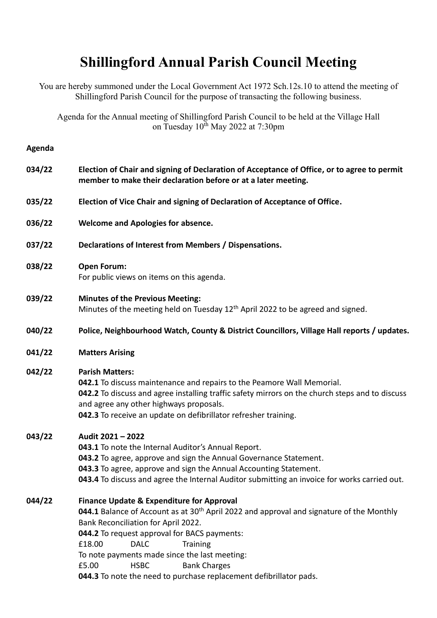## **Shillingford Annual Parish Council Meeting**

You are hereby summoned under the Local Government Act 1972 Sch.12s.10 to attend the meeting of Shillingford Parish Council for the purpose of transacting the following business.

Agenda for the Annual meeting of Shillingford Parish Council to be held at the Village Hall on Tuesday 10<sup>th</sup> May 2022 at 7:30pm

## **Agenda**

| 034/22 | Election of Chair and signing of Declaration of Acceptance of Office, or to agree to permit<br>member to make their declaration before or at a later meeting.                                                                                                                                                                                                                                   |
|--------|-------------------------------------------------------------------------------------------------------------------------------------------------------------------------------------------------------------------------------------------------------------------------------------------------------------------------------------------------------------------------------------------------|
| 035/22 | Election of Vice Chair and signing of Declaration of Acceptance of Office.                                                                                                                                                                                                                                                                                                                      |
| 036/22 | <b>Welcome and Apologies for absence.</b>                                                                                                                                                                                                                                                                                                                                                       |
| 037/22 | Declarations of Interest from Members / Dispensations.                                                                                                                                                                                                                                                                                                                                          |
| 038/22 | <b>Open Forum:</b><br>For public views on items on this agenda.                                                                                                                                                                                                                                                                                                                                 |
| 039/22 | <b>Minutes of the Previous Meeting:</b><br>Minutes of the meeting held on Tuesday 12 <sup>th</sup> April 2022 to be agreed and signed.                                                                                                                                                                                                                                                          |
| 040/22 | Police, Neighbourhood Watch, County & District Councillors, Village Hall reports / updates.                                                                                                                                                                                                                                                                                                     |
| 041/22 | <b>Matters Arising</b>                                                                                                                                                                                                                                                                                                                                                                          |
| 042/22 | <b>Parish Matters:</b><br>042.1 To discuss maintenance and repairs to the Peamore Wall Memorial.<br>042.2 To discuss and agree installing traffic safety mirrors on the church steps and to discuss<br>and agree any other highways proposals.<br>042.3 To receive an update on defibrillator refresher training.                                                                               |
| 043/22 | Audit 2021 - 2022<br>043.1 To note the Internal Auditor's Annual Report.<br>043.2 To agree, approve and sign the Annual Governance Statement.<br>043.3 To agree, approve and sign the Annual Accounting Statement.<br>043.4 To discuss and agree the Internal Auditor submitting an invoice for works carried out.                                                                              |
| 044/22 | <b>Finance Update &amp; Expenditure for Approval</b><br>044.1 Balance of Account as at 30 <sup>th</sup> April 2022 and approval and signature of the Monthly<br>Bank Reconciliation for April 2022.<br>044.2 To request approval for BACS payments:<br>£18.00<br><b>DALC</b><br><b>Training</b><br>To note payments made since the last meeting:<br>£5.00<br><b>HSBC</b><br><b>Bank Charges</b> |

**044.3** To note the need to purchase replacement defibrillator pads.